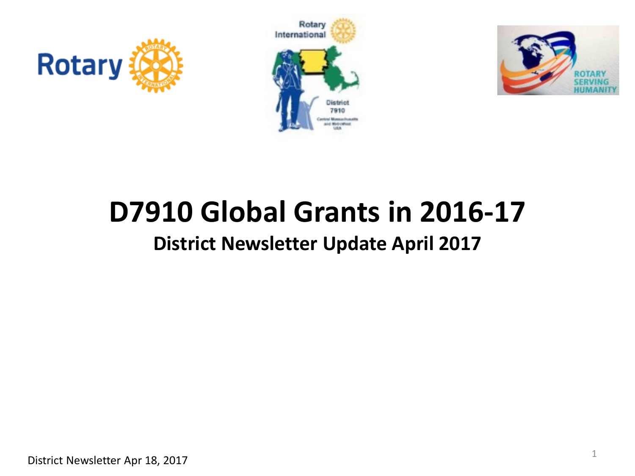





# **D7910 Global Grants in 2016-17**

#### **District Newsletter Update April 2017**

District Newsletter Apr 18, 2017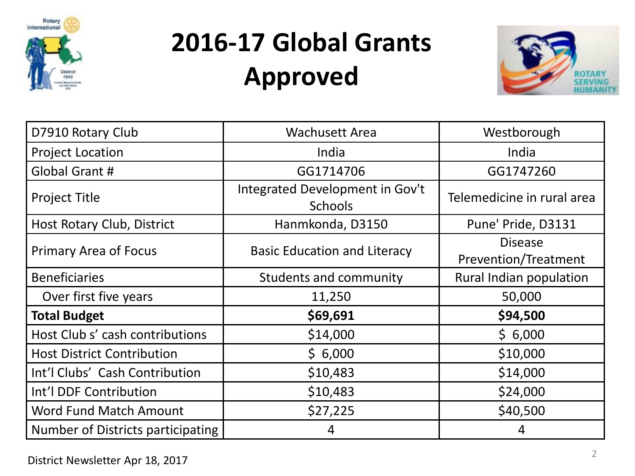

## **2016-17 Global Grants Approved**



| D7910 Rotary Club                 | <b>Wachusett Area</b>                             | Westborough                            |  |
|-----------------------------------|---------------------------------------------------|----------------------------------------|--|
| <b>Project Location</b>           | India                                             | India                                  |  |
| Global Grant #                    | GG1714706                                         | GG1747260                              |  |
| <b>Project Title</b>              | Integrated Development in Gov't<br><b>Schools</b> | Telemedicine in rural area             |  |
| Host Rotary Club, District        | Hanmkonda, D3150                                  | Pune' Pride, D3131                     |  |
| <b>Primary Area of Focus</b>      | <b>Basic Education and Literacy</b>               | <b>Disease</b><br>Prevention/Treatment |  |
| <b>Beneficiaries</b>              | Students and community                            | Rural Indian population                |  |
| Over first five years             | 11,250                                            | 50,000                                 |  |
| <b>Total Budget</b>               | \$69,691                                          | \$94,500                               |  |
| Host Club s' cash contributions   | \$14,000                                          | \$6,000                                |  |
| <b>Host District Contribution</b> | \$6,000                                           | \$10,000                               |  |
| Int'l Clubs' Cash Contribution    | \$10,483                                          | \$14,000                               |  |
| Int'l DDF Contribution            | \$10,483                                          | \$24,000                               |  |
| Word Fund Match Amount            | \$27,225                                          | \$40,500                               |  |
| Number of Districts participating | 4                                                 | 4                                      |  |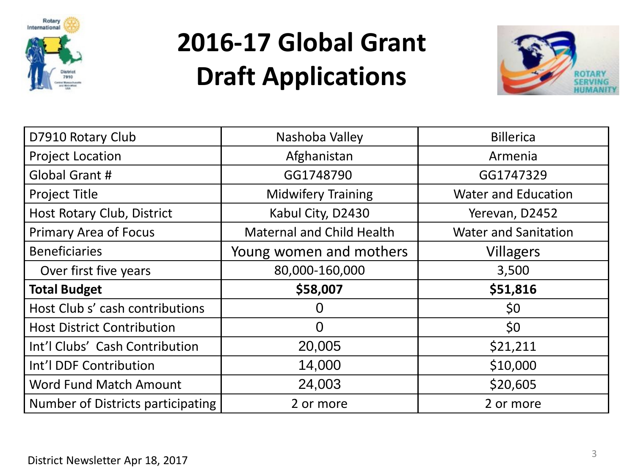

### **2016-17 Global Grant Draft Applications**



| D7910 Rotary Club                 | Nashoba Valley                                          | <b>Billerica</b>            |  |
|-----------------------------------|---------------------------------------------------------|-----------------------------|--|
| <b>Project Location</b>           | Afghanistan                                             | Armenia                     |  |
| Global Grant #                    | GG1748790                                               | GG1747329                   |  |
| <b>Project Title</b>              | <b>Water and Education</b><br><b>Midwifery Training</b> |                             |  |
| Host Rotary Club, District        | Kabul City, D2430                                       | Yerevan, D2452              |  |
| <b>Primary Area of Focus</b>      | <b>Maternal and Child Health</b>                        | <b>Water and Sanitation</b> |  |
| <b>Beneficiaries</b>              | Young women and mothers                                 | <b>Villagers</b>            |  |
| Over first five years             | 80,000-160,000                                          | 3,500                       |  |
| <b>Total Budget</b>               | \$58,007                                                | \$51,816                    |  |
| Host Club s' cash contributions   |                                                         | \$0                         |  |
| <b>Host District Contribution</b> | $\Omega$                                                | \$0                         |  |
| Int'l Clubs' Cash Contribution    | 20,005                                                  | \$21,211                    |  |
| Int'l DDF Contribution            | 14,000                                                  | \$10,000                    |  |
| Word Fund Match Amount            | 24,003                                                  | \$20,605                    |  |
| Number of Districts participating | 2 or more                                               | 2 or more                   |  |